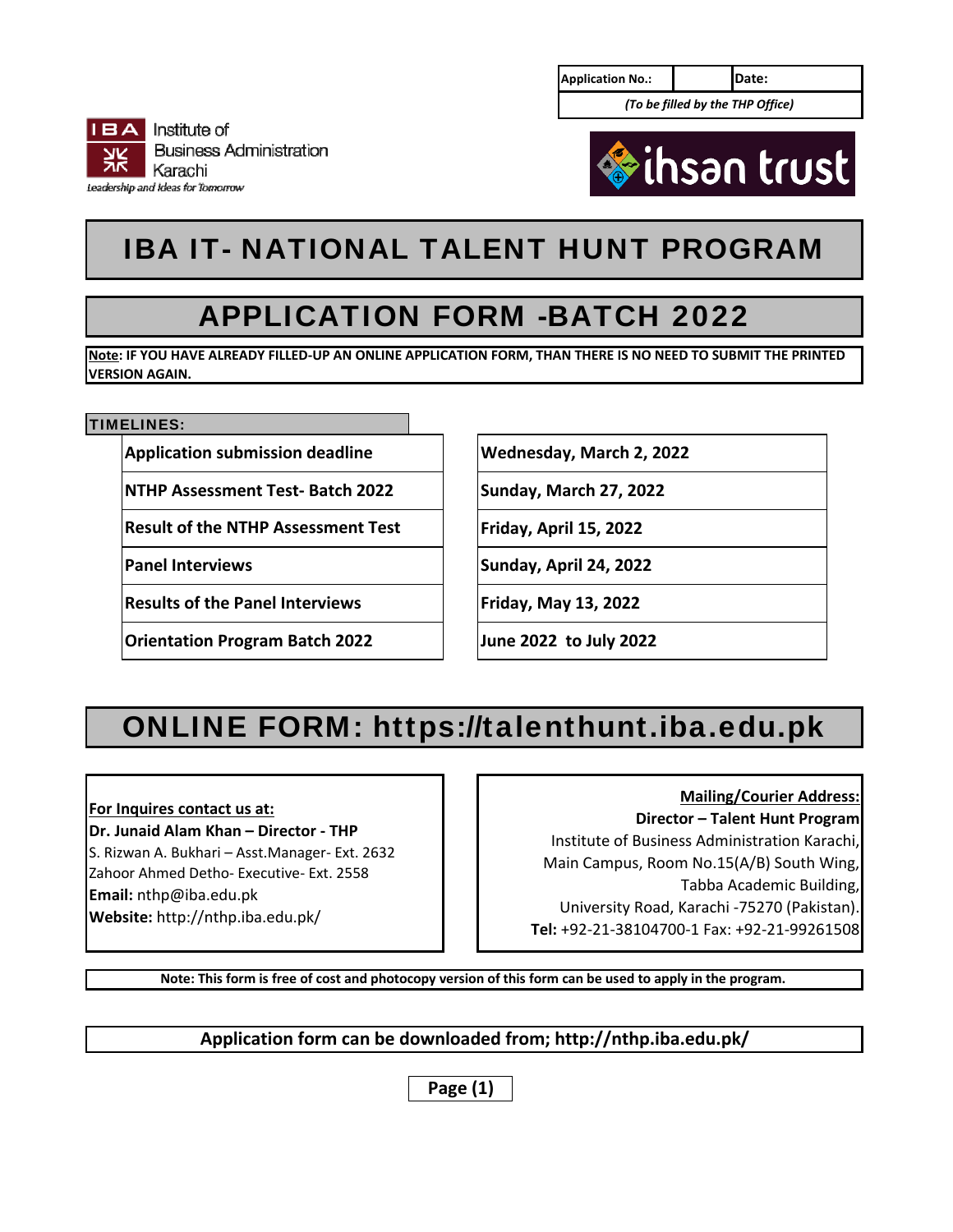| <b>Application No.:</b> | Date: |                                  |  |  |  |  |
|-------------------------|-------|----------------------------------|--|--|--|--|
|                         |       | (To be filled by the THP Office) |  |  |  |  |





# IBA IT- NATIONAL TALENT HUNT PROGRAM

## APPLICATION FORM -BATCH 2022

**Note: IF YOU HAVE ALREADY FILLED‐UP AN ONLINE APPLICATION FORM, THAN THERE IS NO NEED TO SUBMIT THE PRINTED VERSION AGAIN.**

### TIMELINES:

**Application submission deadline**

**NTHP Assessment Test‐ Batch 2022**

**Result of the NTHP Assessment Test**

**Panel Interviews**

**Results of the Panel Interviews**

**Orientation Program Batch 2022**

**Wednesday, March 2, 2022**

**Sunday, March 27, 2022**

**Friday, April 15, 2022**

**Sunday, April 24, 2022**

**Friday, May 13, 2022**

**June 2022 to July 2022**

# ONLINE FORM: https://talenthunt.iba.edu.pk

**For Inquires contact us at:**

**Dr. Junaid Alam Khan – Director ‐ THP** S. Rizwan A. Bukhari – Asst.Manager‐ Ext. 2632 Zahoor Ahmed Detho‐ Executive‐ Ext. 2558 **Email:** nthp@iba.edu.pk **Website:** http://nthp.iba.edu.pk/

### **Mailing/Courier Address:**

**Director – Talent Hunt Program** Institute of Business Administration Karachi, Main Campus, Room No.15(A/B) South Wing, Tabba Academic Building, University Road, Karachi ‐75270 (Pakistan). **Tel:** +92‐21‐38104700‐1 Fax: +92‐21‐99261508

**Note: This form is free of cost and photocopy version of this form can be used to apply in the program.** 

### **Application form can be downloaded from; http://nthp.iba.edu.pk/**

**Page (1)**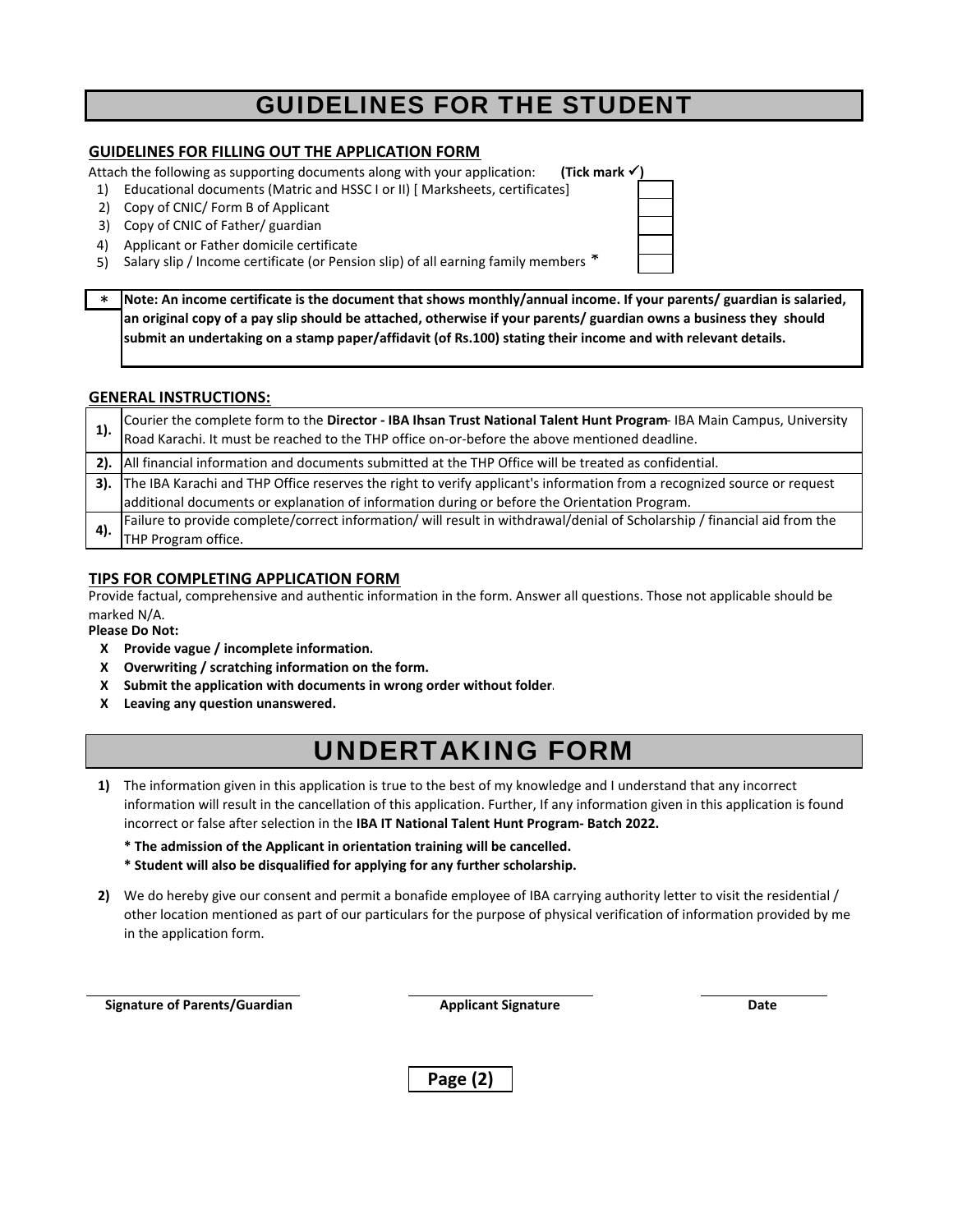## GUIDELINES FOR THE STUDENT

### **GUIDELINES FOR FILLING OUT THE APPLICATION FORM**

Attach the following as supporting documents along with your application: **(Tick mark )**

- 1) Educational documents (Matric and HSSC I or II) [ Marksheets, certificates]
- 2) Copy of CNIC/ Form B of Applicant
- 3) Copy of CNIC of Father/ guardian
- 4) Applicant or Father domicile certificate
- 5) Salary slip / Income certificate (or Pension slip) of all earning family members  $\tilde{\mathcal{F}}$
- \* **Note: An income certificate is the document that shows monthly/annual income. If your parents/ guardian is salaried, an original copy of a pay slip should be attached, otherwise if your parents/ guardian owns a business they should submit an undertaking on a stamp paper/affidavit (of Rs.100) stating their income and with relevant details.**

### **GENERAL INSTRUCTIONS:**

| 1). | Courier the complete form to the Director - IBA Ihsan Trust National Talent Hunt Program- IBA Main Campus, University<br>Road Karachi. It must be reached to the THP office on-or-before the above mentioned deadline. |
|-----|------------------------------------------------------------------------------------------------------------------------------------------------------------------------------------------------------------------------|
|     | 2). All financial information and documents submitted at the THP Office will be treated as confidential.                                                                                                               |
|     | 3). The IBA Karachi and THP Office reserves the right to verify applicant's information from a recognized source or request                                                                                            |
|     | additional documents or explanation of information during or before the Orientation Program.                                                                                                                           |
|     | Failure to provide complete/correct information/ will result in withdrawal/denial of Scholarship / financial aid from the                                                                                              |
|     | THP Program office.                                                                                                                                                                                                    |

### **TIPS FOR COMPLETING APPLICATION FORM**

Provide factual, comprehensive and authentic information in the form. Answer all questions. Those not applicable should be marked N/A.

#### **Please Do Not:**

- **Х Provide vague / incomplete information.**
- **Х Overwriting / scratching information on the form.**
- **X Submit the application with documents in wrong order without folder.**
- **X Leaving any question unanswered.**

## UNDERTAKING FORM

- 1) The information given in this application is true to the best of my knowledge and I understand that any incorrect information will result in the cancellation of this application. Further, If any information given in this application is found incorrect or false after selection in the **IBA IT National Talent Hunt Program‐ Batch 2022.**
	- **\* The admission of the Applicant in orientation training will be cancelled.**
	- **\* Student will also be disqualified for applying for any further scholarship.**
- We do hereby give our consent and permit a bonafide employee of IBA carrying authority letter to visit the residential / **2)**  other location mentioned as part of our particulars for the purpose of physical verification of information provided by me in the application form.

 **Signature of Parents/Guardian Applicant Signature Date Date** 

**Page (2)**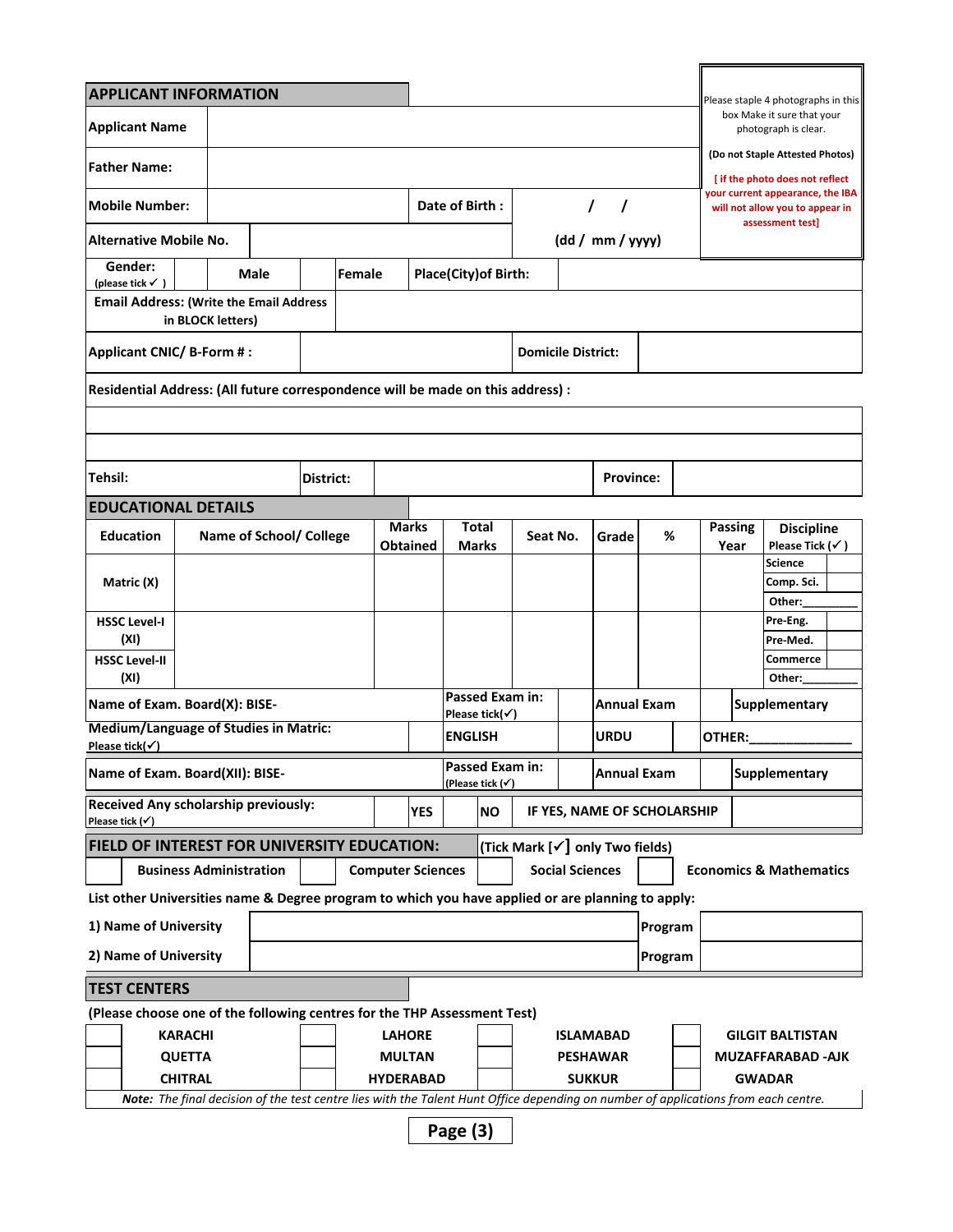| <b>APPLICANT INFORMATION</b>                                                                      |                                                                                                                                    |                |           |  |                          |                                |                       |                                                       |                                     |                        |                                 |                    |                                                                     |                                                     | Please staple 4 photographs in this                |  |
|---------------------------------------------------------------------------------------------------|------------------------------------------------------------------------------------------------------------------------------------|----------------|-----------|--|--------------------------|--------------------------------|-----------------------|-------------------------------------------------------|-------------------------------------|------------------------|---------------------------------|--------------------|---------------------------------------------------------------------|-----------------------------------------------------|----------------------------------------------------|--|
| <b>Applicant Name</b>                                                                             |                                                                                                                                    |                |           |  |                          |                                |                       |                                                       |                                     |                        |                                 |                    |                                                                     |                                                     | box Make it sure that your<br>photograph is clear. |  |
|                                                                                                   |                                                                                                                                    |                |           |  |                          |                                |                       |                                                       |                                     |                        |                                 |                    |                                                                     |                                                     | (Do not Staple Attested Photos)                    |  |
| <b>Father Name:</b>                                                                               |                                                                                                                                    |                |           |  |                          |                                |                       |                                                       |                                     |                        |                                 |                    |                                                                     |                                                     | [ if the photo does not reflect                    |  |
| <b>Mobile Number:</b>                                                                             |                                                                                                                                    |                |           |  | Date of Birth:           |                                |                       |                                                       | $\prime$<br>$\prime$                |                        |                                 |                    | your current appearance, the IBA<br>will not allow you to appear in |                                                     |                                                    |  |
| <b>Alternative Mobile No.</b>                                                                     |                                                                                                                                    |                |           |  | (dd / mm / yyy)          |                                |                       |                                                       | assessment test]                    |                        |                                 |                    |                                                                     |                                                     |                                                    |  |
| Gender:                                                                                           |                                                                                                                                    | Female<br>Male |           |  |                          |                                | Place(City) of Birth: |                                                       |                                     |                        |                                 |                    |                                                                     |                                                     |                                                    |  |
| (please tick $\checkmark$ )<br><b>Email Address: (Write the Email Address</b>                     |                                                                                                                                    |                |           |  |                          |                                |                       |                                                       |                                     |                        |                                 |                    |                                                                     |                                                     |                                                    |  |
|                                                                                                   | in BLOCK letters)                                                                                                                  |                |           |  |                          |                                |                       |                                                       |                                     |                        |                                 |                    |                                                                     |                                                     |                                                    |  |
| Applicant CNIC/ B-Form #:                                                                         |                                                                                                                                    |                |           |  |                          |                                |                       |                                                       | <b>Domicile District:</b>           |                        |                                 |                    |                                                                     |                                                     |                                                    |  |
| Residential Address: (All future correspondence will be made on this address) :                   |                                                                                                                                    |                |           |  |                          |                                |                       |                                                       |                                     |                        |                                 |                    |                                                                     |                                                     |                                                    |  |
|                                                                                                   |                                                                                                                                    |                |           |  |                          |                                |                       |                                                       |                                     |                        |                                 |                    |                                                                     |                                                     |                                                    |  |
|                                                                                                   |                                                                                                                                    |                |           |  |                          |                                |                       |                                                       |                                     |                        |                                 |                    |                                                                     |                                                     |                                                    |  |
| Tehsil:                                                                                           |                                                                                                                                    |                | District: |  |                          |                                |                       |                                                       |                                     |                        | <b>Province:</b>                |                    |                                                                     |                                                     |                                                    |  |
| <b>EDUCATIONAL DETAILS</b>                                                                        |                                                                                                                                    |                |           |  |                          |                                |                       |                                                       |                                     |                        |                                 |                    |                                                                     |                                                     |                                                    |  |
| <b>Education</b>                                                                                  | Name of School/ College                                                                                                            |                |           |  |                          | Marks<br>Total                 |                       |                                                       | Seat No.                            |                        | %<br>Grade                      |                    |                                                                     | <b>Passing</b><br><b>Discipline</b><br>Year         |                                                    |  |
|                                                                                                   |                                                                                                                                    |                |           |  |                          | <b>Obtained</b>                |                       | Marks                                                 |                                     |                        |                                 |                    |                                                                     |                                                     | Please Tick $(\checkmark)$<br><b>Science</b>       |  |
| Matric (X)                                                                                        |                                                                                                                                    |                |           |  |                          |                                |                       |                                                       |                                     |                        |                                 |                    |                                                                     |                                                     | Comp. Sci.<br>Other:                               |  |
| <b>HSSC Level-I</b>                                                                               |                                                                                                                                    |                |           |  |                          |                                |                       |                                                       |                                     |                        |                                 |                    |                                                                     |                                                     | Pre-Eng.                                           |  |
| (XI)<br><b>HSSC Level-II</b>                                                                      |                                                                                                                                    |                |           |  |                          |                                |                       |                                                       |                                     |                        |                                 |                    |                                                                     |                                                     | Pre-Med.<br><b>Commerce</b>                        |  |
| (XI)                                                                                              |                                                                                                                                    |                |           |  |                          |                                |                       |                                                       |                                     |                        |                                 |                    |                                                                     |                                                     | Other:                                             |  |
| Name of Exam. Board(X): BISE-                                                                     |                                                                                                                                    |                |           |  |                          |                                |                       | <b>Passed Exam in:</b><br>Please tick( $\checkmark$ ) |                                     |                        |                                 | <b>Annual Exam</b> |                                                                     | <b>Supplementary</b>                                |                                                    |  |
| Medium/Language of Studies in Matric:<br>Please tick( $\checkmark$ )                              |                                                                                                                                    |                |           |  |                          |                                | <b>ENGLISH</b>        |                                                       |                                     | <b>URDU</b>            |                                 |                    |                                                                     | OTHER:                                              |                                                    |  |
| Name of Exam. Board(XII): BISE-                                                                   |                                                                                                                                    |                |           |  |                          |                                |                       | Passed Exam in:<br>(Please tick (✔)                   |                                     | <b>Annual Exam</b>     |                                 |                    |                                                                     | <b>Supplementary</b>                                |                                                    |  |
| Received Any scholarship previously:<br><b>YES</b><br>Please tick $(\checkmark)$                  |                                                                                                                                    |                |           |  |                          |                                |                       | <b>NO</b>                                             | IF YES, NAME OF SCHOLARSHIP         |                        |                                 |                    |                                                                     |                                                     |                                                    |  |
| FIELD OF INTEREST FOR UNIVERSITY EDUCATION:                                                       |                                                                                                                                    |                |           |  |                          |                                |                       |                                                       |                                     |                        | (Tick Mark [√] only Two fields) |                    |                                                                     |                                                     |                                                    |  |
|                                                                                                   | <b>Business Administration</b>                                                                                                     |                |           |  | <b>Computer Sciences</b> |                                |                       |                                                       |                                     | <b>Social Sciences</b> |                                 |                    |                                                                     |                                                     | <b>Economics &amp; Mathematics</b>                 |  |
| List other Universities name & Degree program to which you have applied or are planning to apply: |                                                                                                                                    |                |           |  |                          |                                |                       |                                                       |                                     |                        |                                 |                    |                                                                     |                                                     |                                                    |  |
| 1) Name of University                                                                             |                                                                                                                                    |                |           |  |                          |                                |                       |                                                       |                                     |                        |                                 | Program            |                                                                     |                                                     |                                                    |  |
| 2) Name of University                                                                             |                                                                                                                                    |                |           |  |                          |                                |                       |                                                       |                                     |                        |                                 | Program            |                                                                     |                                                     |                                                    |  |
| <b>TEST CENTERS</b>                                                                               |                                                                                                                                    |                |           |  |                          |                                |                       |                                                       |                                     |                        |                                 |                    |                                                                     |                                                     |                                                    |  |
| (Please choose one of the following centres for the THP Assessment Test)                          |                                                                                                                                    |                |           |  |                          |                                |                       |                                                       |                                     |                        |                                 |                    |                                                                     |                                                     |                                                    |  |
| <b>KARACHI</b><br><b>QUETTA</b>                                                                   |                                                                                                                                    |                |           |  |                          | <b>LAHORE</b><br><b>MULTAN</b> |                       |                                                       | <b>ISLAMABAD</b><br><b>PESHAWAR</b> |                        |                                 |                    |                                                                     | <b>GILGIT BALTISTAN</b><br><b>MUZAFFARABAD -AJK</b> |                                                    |  |
| <b>CHITRAL</b><br><b>HYDERABAD</b>                                                                |                                                                                                                                    |                |           |  |                          |                                |                       |                                                       | <b>SUKKUR</b>                       |                        |                                 |                    |                                                                     | <b>GWADAR</b>                                       |                                                    |  |
|                                                                                                   | Note: The final decision of the test centre lies with the Talent Hunt Office depending on number of applications from each centre. |                |           |  |                          |                                |                       |                                                       |                                     |                        |                                 |                    |                                                                     |                                                     |                                                    |  |
|                                                                                                   |                                                                                                                                    |                |           |  |                          |                                | Page (3)              |                                                       |                                     |                        |                                 |                    |                                                                     |                                                     |                                                    |  |